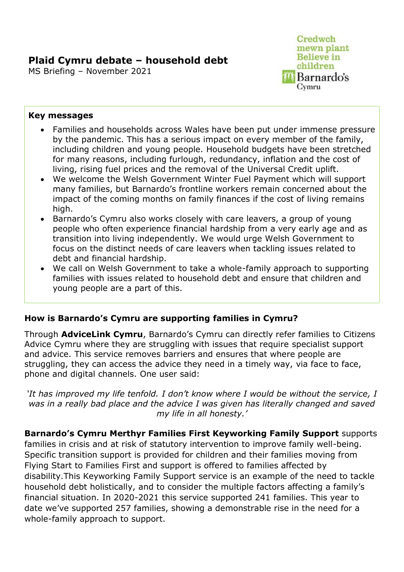# **Plaid Cymru debate – household debt**

MS Briefing – November 2021



#### **Key messages**

- Families and households across Wales have been put under immense pressure by the pandemic. This has a serious impact on every member of the family, including children and young people. Household budgets have been stretched for many reasons, including furlough, redundancy, inflation and the cost of living, rising fuel prices and the removal of the Universal Credit uplift.
- We welcome the Welsh Government Winter Fuel Payment which will support many families, but Barnardo's frontline workers remain concerned about the impact of the coming months on family finances if the cost of living remains high.
- Barnardo's Cymru also works closely with care leavers, a group of young people who often experience financial hardship from a very early age and as transition into living independently. We would urge Welsh Government to focus on the distinct needs of care leavers when tackling issues related to debt and financial hardship.
- We call on Welsh Government to take a whole-family approach to supporting families with issues related to household debt and ensure that children and young people are a part of this.

# **How is Barnardo's Cymru are supporting families in Cymru?**

Through **AdviceLink Cymru**, Barnardo's Cymru can directly refer families to Citizens Advice Cymru where they are struggling with issues that require specialist support and advice. This service removes barriers and ensures that where people are struggling, they can access the advice they need in a timely way, via face to face, phone and digital channels. One user said:

*'It has improved my life tenfold. I don't know where I would be without the service, I was in a really bad place and the advice I was given has literally changed and saved my life in all honesty.'*

**Barnardo's Cymru Merthyr Families First Keyworking Family Support** supports families in crisis and at risk of statutory intervention to improve family well-being. Specific transition support is provided for children and their families moving from Flying Start to Families First and support is offered to families affected by disability.This Keyworking Family Support service is an example of the need to tackle household debt holistically, and to consider the multiple factors affecting a family's financial situation. In 2020-2021 this service supported 241 families. This year to date we've supported 257 families, showing a demonstrable rise in the need for a whole-family approach to support.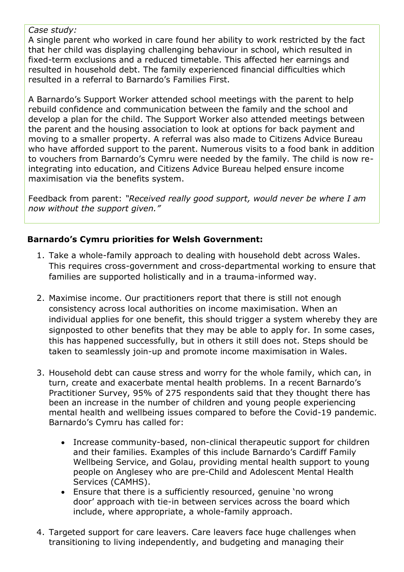#### *Case study:*

A single parent who worked in care found her ability to work restricted by the fact that her child was displaying challenging behaviour in school, which resulted in fixed-term exclusions and a reduced timetable. This affected her earnings and resulted in household debt. The family experienced financial difficulties which resulted in a referral to Barnardo's Families First.

A Barnardo's Support Worker attended school meetings with the parent to help rebuild confidence and communication between the family and the school and develop a plan for the child. The Support Worker also attended meetings between the parent and the housing association to look at options for back payment and moving to a smaller property. A referral was also made to Citizens Advice Bureau who have afforded support to the parent. Numerous visits to a food bank in addition to vouchers from Barnardo's Cymru were needed by the family. The child is now reintegrating into education, and Citizens Advice Bureau helped ensure income maximisation via the benefits system.

Feedback from parent: *"Received really good support, would never be where I am now without the support given."*

### **Barnardo's Cymru priorities for Welsh Government:**

- 1. Take a whole-family approach to dealing with household debt across Wales. This requires cross-government and cross-departmental working to ensure that families are supported holistically and in a trauma-informed way.
- 2. Maximise income. Our practitioners report that there is still not enough consistency across local authorities on income maximisation. When an individual applies for one benefit, this should trigger a system whereby they are signposted to other benefits that they may be able to apply for. In some cases, this has happened successfully, but in others it still does not. Steps should be taken to seamlessly join-up and promote income maximisation in Wales.
- 3. Household debt can cause stress and worry for the whole family, which can, in turn, create and exacerbate mental health problems. In a recent Barnardo's Practitioner Survey, 95% of 275 respondents said that they thought there has been an increase in the number of children and young people experiencing mental health and wellbeing issues compared to before the Covid-19 pandemic. Barnardo's Cymru has called for:
	- Increase community-based, non-clinical therapeutic support for children and their families. Examples of this include Barnardo's Cardiff Family Wellbeing Service, and Golau, providing mental health support to young people on Anglesey who are pre-Child and Adolescent Mental Health Services (CAMHS).
	- Ensure that there is a sufficiently resourced, genuine 'no wrong door' approach with tie-in between services across the board which include, where appropriate, a whole-family approach.
- 4. Targeted support for care leavers. Care leavers face huge challenges when transitioning to living independently, and budgeting and managing their